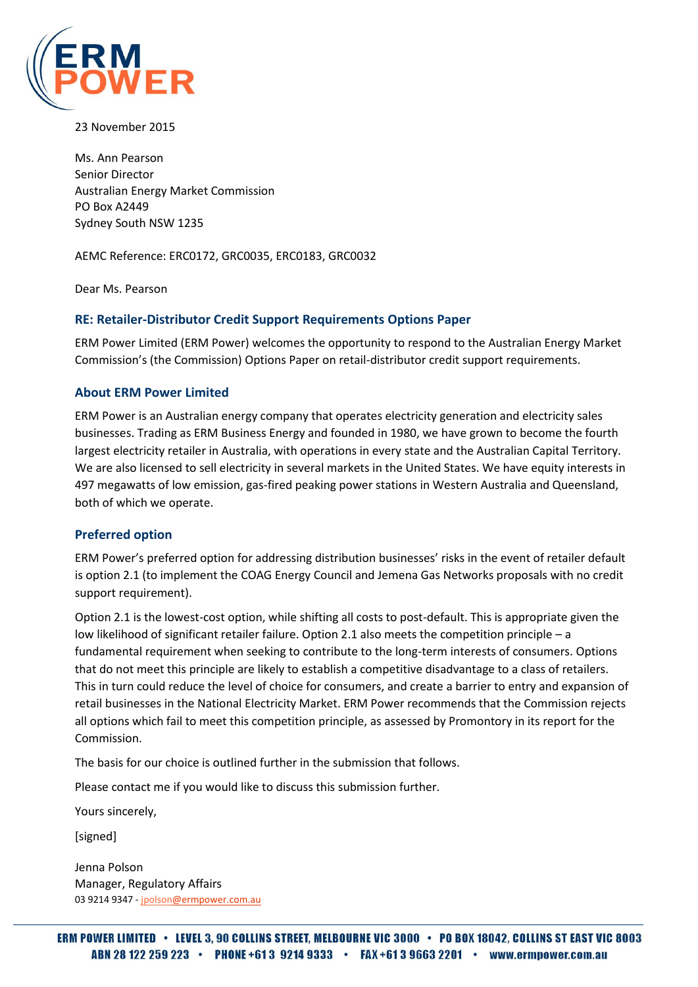

23 November 2015

Ms. Ann Pearson Senior Director Australian Energy Market Commission PO Box A2449 Sydney South NSW 1235

AEMC Reference: ERC0172, GRC0035, ERC0183, GRC0032

Dear Ms. Pearson

# **RE: Retailer-Distributor Credit Support Requirements Options Paper**

ERM Power Limited (ERM Power) welcomes the opportunity to respond to the Australian Energy Market Commission's (the Commission) Options Paper on retail-distributor credit support requirements.

### **About ERM Power Limited**

ERM Power is an Australian energy company that operates electricity generation and electricity sales businesses. Trading as ERM Business Energy and founded in 1980, we have grown to become the fourth largest electricity retailer in Australia, with operations in every state and the Australian Capital Territory. We are also licensed to sell electricity in several markets in the United States. We have equity interests in 497 megawatts of low emission, gas-fired peaking power stations in Western Australia and Queensland, both of which we operate.

# **Preferred option**

ERM Power's preferred option for addressing distribution businesses' risks in the event of retailer default is option 2.1 (to implement the COAG Energy Council and Jemena Gas Networks proposals with no credit support requirement).

Option 2.1 is the lowest-cost option, while shifting all costs to post-default. This is appropriate given the low likelihood of significant retailer failure. Option 2.1 also meets the competition principle – a fundamental requirement when seeking to contribute to the long-term interests of consumers. Options that do not meet this principle are likely to establish a competitive disadvantage to a class of retailers. This in turn could reduce the level of choice for consumers, and create a barrier to entry and expansion of retail businesses in the National Electricity Market. ERM Power recommends that the Commission rejects all options which fail to meet this competition principle, as assessed by Promontory in its report for the Commission.

The basis for our choice is outlined further in the submission that follows.

Please contact me if you would like to discuss this submission further.

Yours sincerely,

[signed]

Jenna Polson Manager, Regulatory Affairs 03 9214 9347 - jpolson@ermpower.com.au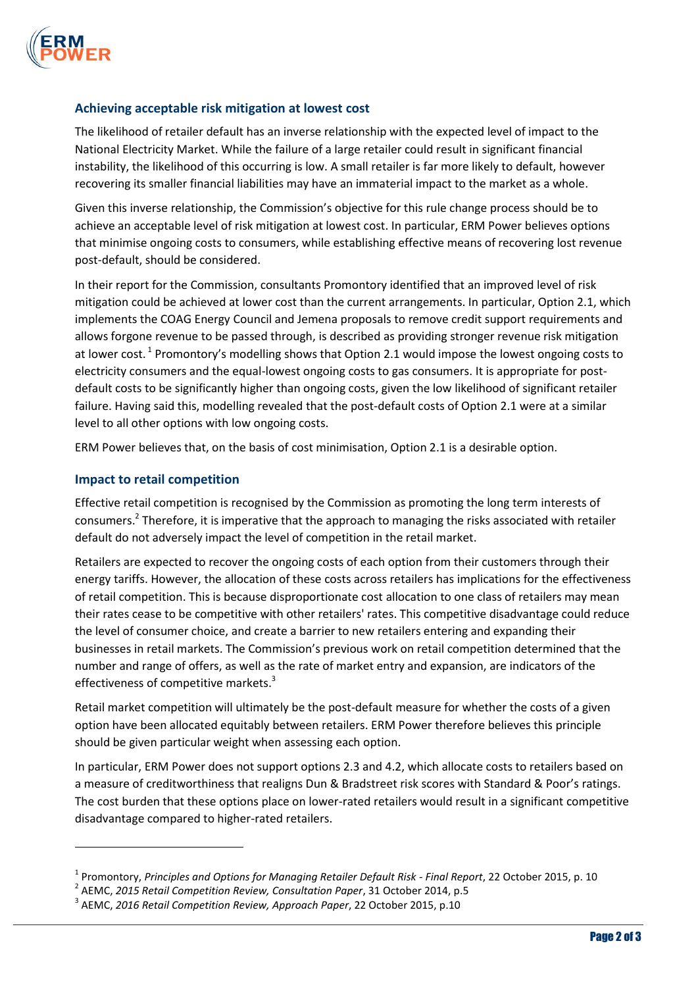

### **Achieving acceptable risk mitigation at lowest cost**

The likelihood of retailer default has an inverse relationship with the expected level of impact to the National Electricity Market. While the failure of a large retailer could result in significant financial instability, the likelihood of this occurring is low. A small retailer is far more likely to default, however recovering its smaller financial liabilities may have an immaterial impact to the market as a whole.

Given this inverse relationship, the Commission's objective for this rule change process should be to achieve an acceptable level of risk mitigation at lowest cost. In particular, ERM Power believes options that minimise ongoing costs to consumers, while establishing effective means of recovering lost revenue post-default, should be considered.

In their report for the Commission, consultants Promontory identified that an improved level of risk mitigation could be achieved at lower cost than the current arrangements. In particular, Option 2.1, which implements the COAG Energy Council and Jemena proposals to remove credit support requirements and allows forgone revenue to be passed through, is described as providing stronger revenue risk mitigation at lower cost.<sup>1</sup> Promontory's modelling shows that Option 2.1 would impose the lowest ongoing costs to electricity consumers and the equal-lowest ongoing costs to gas consumers. It is appropriate for postdefault costs to be significantly higher than ongoing costs, given the low likelihood of significant retailer failure. Having said this, modelling revealed that the post-default costs of Option 2.1 were at a similar level to all other options with low ongoing costs.

ERM Power believes that, on the basis of cost minimisation, Option 2.1 is a desirable option.

### **Impact to retail competition**

 $\overline{\phantom{a}}$ 

Effective retail competition is recognised by the Commission as promoting the long term interests of consumers.<sup>2</sup> Therefore, it is imperative that the approach to managing the risks associated with retailer default do not adversely impact the level of competition in the retail market.

Retailers are expected to recover the ongoing costs of each option from their customers through their energy tariffs. However, the allocation of these costs across retailers has implications for the effectiveness of retail competition. This is because disproportionate cost allocation to one class of retailers may mean their rates cease to be competitive with other retailers' rates. This competitive disadvantage could reduce the level of consumer choice, and create a barrier to new retailers entering and expanding their businesses in retail markets. The Commission's previous work on retail competition determined that the number and range of offers, as well as the rate of market entry and expansion, are indicators of the effectiveness of competitive markets.<sup>3</sup>

Retail market competition will ultimately be the post-default measure for whether the costs of a given option have been allocated equitably between retailers. ERM Power therefore believes this principle should be given particular weight when assessing each option.

In particular, ERM Power does not support options 2.3 and 4.2, which allocate costs to retailers based on a measure of creditworthiness that realigns Dun & Bradstreet risk scores with Standard & Poor's ratings. The cost burden that these options place on lower-rated retailers would result in a significant competitive disadvantage compared to higher-rated retailers.

<sup>1</sup> Promontory, *Principles and Options for Managing Retailer Default Risk - Final Report*, 22 October 2015, p. 10

<sup>2</sup> AEMC, *2015 Retail Competition Review, Consultation Paper*, 31 October 2014, p.5

<sup>3</sup> AEMC, *2016 Retail Competition Review, Approach Paper*, 22 October 2015, p.10